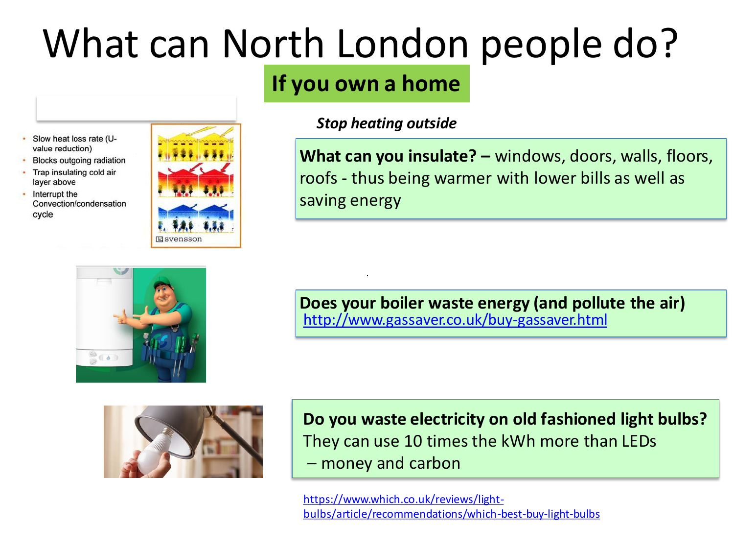### What can North London people do?

### **If you own a home**



- **Blocks outgoing radiation** • Trap insulating cold air
- layer above • Interrupt the Convection/condensation

cycle





*Stop heating outside*

**What can you insulate? –** windows, doors, walls, floors, roofs - thus being warmer with lower bills as well as saving energy



**Does your boiler waste energy (and pollute the air)** <http://www.gassaver.co.uk/buy-gassaver.html>



**Do you waste electricity on old fashioned light bulbs?** They can use 10 times the kWh more than LEDs – money and carbon

https://www.which.co.uk/reviews/light[bulbs/article/recommendations/which-best-buy-light-bulbs](https://www.which.co.uk/reviews/light-bulbs/article/recommendations/which-best-buy-light-bulbs)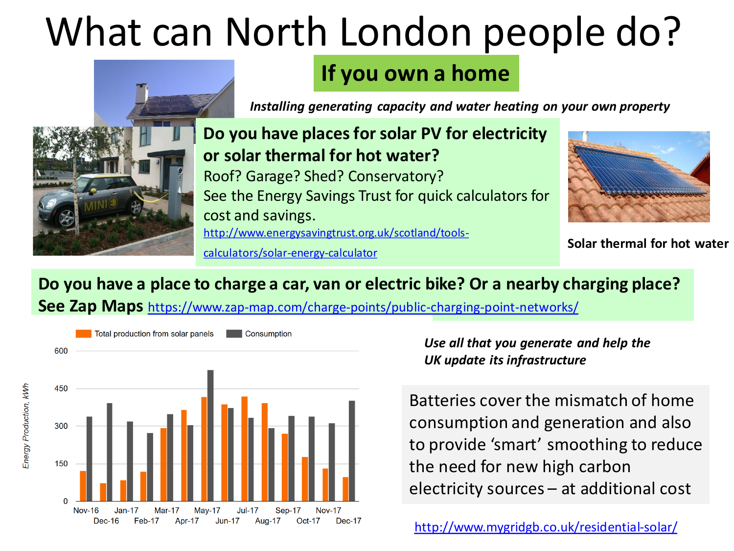# What can North London people do?



#### **If you own a home**

*Installing generating capacity and water heating on your own property*

**Do you have places for solar PV for electricity or solar thermal for hot water?**  Roof? Garage? Shed? Conservatory? See the Energy Savings Trust for quick calculators for cost and savings. [http://www.energysavingtrust.org.uk/scotland/tools-](http://www.energysavingtrust.org.uk/scotland/tools-calculators/solar-energy-calculator)

calculators/solar-energy-calculator



**Solar thermal for hot water**

#### **Do you have a place to charge a car, van or electric bike? Or a nearby charging place?**

**See Zap Maps** <https://www.zap-map.com/charge-points/public-charging-point-networks/>



*Use all that you generate and help the UK update its infrastructure*

Batteries cover the mismatch of home consumption and generation and also to provide 'smart' smoothing to reduce the need for new high carbon electricity sources – at additional cost

<http://www.mygridgb.co.uk/residential-solar/>